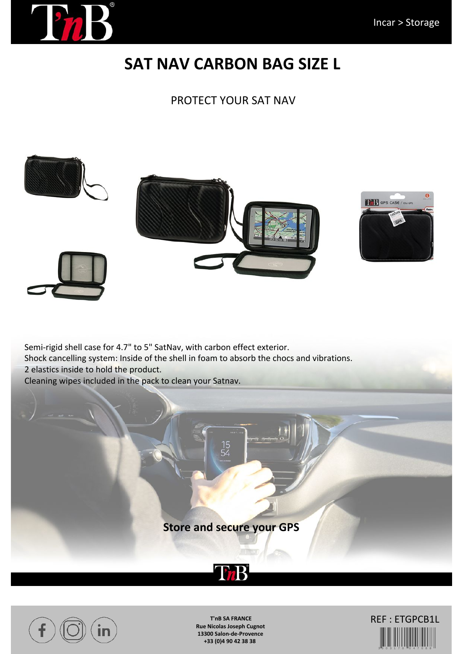

# **SAT NAV CARBON BAG SIZE L**

### PROTECT YOUR SAT NAV



Semi-rigid shell case for 4.7" to 5" SatNav, with carbon effect exterior.
Shock cancelling system: Inside of the shell in foam to absorb the chocs and vibrations. 2 elastics inside to hold the product. Cleaning wipes included in the pack to clean your Satnav.

### **Store and secure your GPS**





**T'nB SA FRANCE Rue Nicolas Joseph Cugnot 13300 Salon-de-Provence +33 (0)4 90 42 38 38**